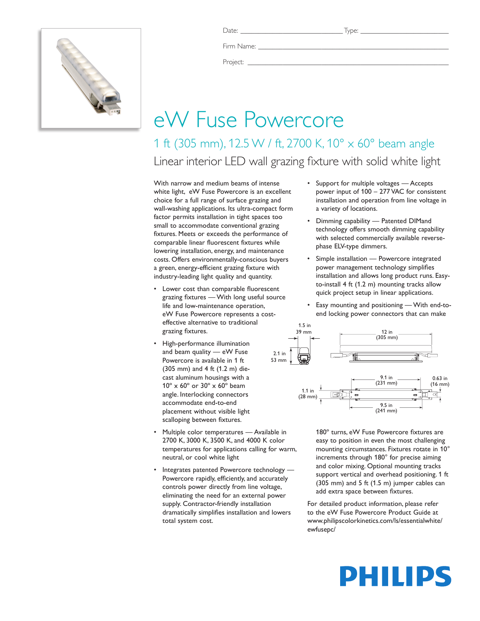

Date: \_\_\_\_\_\_\_\_\_\_\_\_\_\_\_\_\_\_\_\_\_\_\_\_\_\_\_\_\_ Type: \_\_\_\_\_\_\_\_\_\_\_\_\_\_\_\_\_\_\_\_\_\_\_\_\_

Firm Name:

Project: \_\_\_\_\_\_\_\_\_\_\_\_\_\_\_\_\_\_\_\_\_\_\_\_\_\_\_\_\_\_\_\_\_\_\_\_\_\_\_\_\_\_\_\_\_\_\_\_\_\_\_\_\_\_\_\_\_

## eW Fuse Powercore

1 ft (305 mm), 12.5 W / ft, 2700 K, 10° x 60° beam angle Linear interior LED wall grazing fixture with solid white light

With narrow and medium beams of intense white light, eW Fuse Powercore is an excellent choice for a full range of surface grazing and wall-washing applications. Its ultra-compact form factor permits installation in tight spaces too small to accommodate conventional grazing fixtures. Meets or exceeds the performance of comparable linear fluorescent fixtures while lowering installation, energy, and maintenance costs. Offers environmentally-conscious buyers a green, energy-efficient grazing fixture with industry-leading light quality and quantity.

- Lower cost than comparable fluorescent grazing fixtures — With long useful source life and low-maintenance operation, eW Fuse Powercore represents a costeffective alternative to traditional grazing fixtures.
- High-performance illumination and beam quality — eW Fuse Powercore is available in 1 ft (305 mm) and 4 ft (1.2 m) diecast aluminum housings with a 10º x 60º or 30º x 60º beam angle. Interlocking connectors accommodate end-to-end placement without visible light scalloping between fixtures.
- Multiple color temperatures Available in 2700 K, 3000 K, 3500 K, and 4000 K color temperatures for applications calling for warm, neutral, or cool white light
- Integrates patented Powercore technology -Powercore rapidly, efficiently, and accurately controls power directly from line voltage, eliminating the need for an external power supply. Contractor-friendly installation dramatically simplifies installation and lowers total system cost.
- • Support for multiple voltages Accepts power input of 100 – 277 VAC for consistent installation and operation from line voltage in a variety of locations.
- • Dimming capability Patented DIMand technology offers smooth dimming capability with selected commercially available reversephase ELV-type dimmers.
- Simple installation Powercore integrated power management technology simplifies installation and allows long product runs. Easyto-install 4 ft (1.2 m) mounting tracks allow quick project setup in linear applications.
- Easy mounting and positioning With end-toend locking power connectors that can make



180º turns, eW Fuse Powercore fixtures are easy to position in even the most challenging mounting circumstances. Fixtures rotate in 10° increments through 180° for precise aiming and color mixing. Optional mounting tracks support vertical and overhead positioning. 1 ft (305 mm) and 5 ft (1.5 m) jumper cables can add extra space between fixtures.

For detailed product information, please refer to the eW Fuse Powercore Product Guide at www.philipscolorkinetics.com/ls/essentialwhite/ ewfusepc/

# PHILIPS